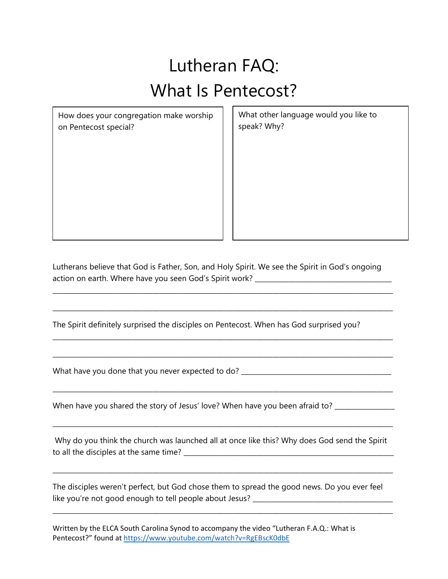## Lutheran FAQ: What Is Pentecost?

How does your congregation make worship on Pentecost special?

What other language would you like to speak? Why?

Lutherans believe that God is Father, Son, and Holy Spirit. We see the Spirit in God's ongoing action on earth. Where have you seen God's Spirit work? \_\_\_\_\_\_\_\_\_\_\_\_\_\_\_\_\_\_\_\_\_\_\_\_\_\_\_\_\_\_\_

\_\_\_\_\_\_\_\_\_\_\_\_\_\_\_\_\_\_\_\_\_\_\_\_\_\_\_\_\_\_\_\_\_\_\_\_\_\_\_\_\_\_\_\_\_\_\_\_\_\_\_\_\_\_\_\_\_\_\_\_\_\_\_\_\_\_\_\_\_\_\_\_\_\_\_\_\_\_\_\_\_\_\_\_\_\_\_\_\_\_\_\_\_\_\_\_\_\_\_\_\_\_

\_\_\_\_\_\_\_\_\_\_\_\_\_\_\_\_\_\_\_\_\_\_\_\_\_\_\_\_\_\_\_\_\_\_\_\_\_\_\_\_\_\_\_\_\_\_\_\_\_\_\_\_\_\_\_\_\_\_\_\_\_\_\_\_\_\_\_\_\_\_\_\_\_\_\_\_\_\_\_\_\_\_\_\_\_\_\_\_\_\_\_\_\_\_\_\_\_\_\_\_\_\_

\_\_\_\_\_\_\_\_\_\_\_\_\_\_\_\_\_\_\_\_\_\_\_\_\_\_\_\_\_\_\_\_\_\_\_\_\_\_\_\_\_\_\_\_\_\_\_\_\_\_\_\_\_\_\_\_\_\_\_\_\_\_\_\_\_\_\_\_\_\_\_\_\_\_\_\_\_\_\_\_\_\_\_\_\_\_\_\_\_\_\_\_\_\_\_\_\_\_\_\_\_\_

\_\_\_\_\_\_\_\_\_\_\_\_\_\_\_\_\_\_\_\_\_\_\_\_\_\_\_\_\_\_\_\_\_\_\_\_\_\_\_\_\_\_\_\_\_\_\_\_\_\_\_\_\_\_\_\_\_\_\_\_\_\_\_\_\_\_\_\_\_\_\_\_\_\_\_\_\_\_\_\_\_\_\_\_\_\_\_\_\_\_\_\_\_\_\_\_\_\_\_\_\_\_

\_\_\_\_\_\_\_\_\_\_\_\_\_\_\_\_\_\_\_\_\_\_\_\_\_\_\_\_\_\_\_\_\_\_\_\_\_\_\_\_\_\_\_\_\_\_\_\_\_\_\_\_\_\_\_\_\_\_\_\_\_\_\_\_\_\_\_\_\_\_\_\_\_\_\_\_\_\_\_\_\_\_\_\_\_\_\_\_\_\_\_\_\_\_\_\_\_\_\_\_\_\_

The Spirit definitely surprised the disciples on Pentecost. When has God surprised you?

What have you done that you never expected to do? \_\_\_\_\_\_\_\_\_\_\_\_\_\_\_\_\_\_\_\_\_\_\_\_\_\_\_\_\_\_

When have you shared the story of Jesus' love? When have you been afraid to? \_\_\_\_\_\_\_\_\_

Why do you think the church was launched all at once like this? Why does God send the Spirit to all the disciples at the same time? \_\_\_\_\_\_\_\_\_\_\_\_\_\_\_\_\_\_\_\_\_\_\_\_\_\_\_\_\_\_\_\_\_\_\_\_\_\_\_\_\_\_\_\_\_\_\_\_\_\_\_\_\_\_\_\_\_\_\_\_\_\_\_

\_\_\_\_\_\_\_\_\_\_\_\_\_\_\_\_\_\_\_\_\_\_\_\_\_\_\_\_\_\_\_\_\_\_\_\_\_\_\_\_\_\_\_\_\_\_\_\_\_\_\_\_\_\_\_\_\_\_\_\_\_\_\_\_\_\_\_\_\_\_\_\_\_\_\_\_\_\_\_\_\_\_\_\_\_\_\_\_\_\_\_\_\_\_\_\_\_\_\_\_\_\_

\_\_\_\_\_\_\_\_\_\_\_\_\_\_\_\_\_\_\_\_\_\_\_\_\_\_\_\_\_\_\_\_\_\_\_\_\_\_\_\_\_\_\_\_\_\_\_\_\_\_\_\_\_\_\_\_\_\_\_\_\_\_\_\_\_\_\_\_\_\_\_\_\_\_\_\_\_\_\_\_\_\_\_\_\_\_\_\_\_\_\_\_\_\_\_\_\_\_\_\_\_\_

The disciples weren't perfect, but God chose them to spread the good news. Do you ever feel like you're not good enough to tell people about Jesus? \_\_\_\_\_\_\_\_\_\_\_\_\_\_\_\_\_\_\_\_\_\_\_\_\_\_\_\_\_\_\_\_\_\_\_\_\_\_\_\_\_\_

\_\_\_\_\_\_\_\_\_\_\_\_\_\_\_\_\_\_\_\_\_\_\_\_\_\_\_\_\_\_\_\_\_\_\_\_\_\_\_\_\_\_\_\_\_\_\_\_\_\_\_\_\_\_\_\_\_\_\_\_\_\_\_\_\_\_\_\_\_\_\_\_\_\_\_\_\_\_\_\_\_\_\_\_\_\_\_\_\_\_\_\_\_\_\_\_\_\_\_\_\_\_

Written by the ELCA South Carolina Synod to accompany the video "Lutheran F.A.Q.: What is Pentecost?" found at<https://www.youtube.com/watch?v=RgEBscK0dbE>